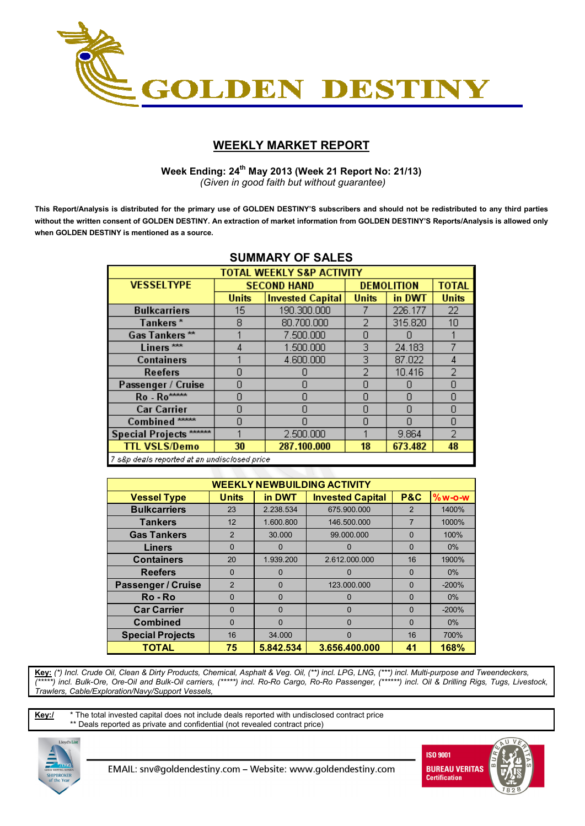

# **WEEKLY MARKET REPORT**

 **Week Ending: 24th May 2013 (Week 21 Report No: 21/13)**  *(Given in good faith but without guarantee)* 

**This Report/Analysis is distributed for the primary use of GOLDEN DESTINY'S subscribers and should not be redistributed to any third parties without the written consent of GOLDEN DESTINY. An extraction of market information from GOLDEN DESTINY'S Reports/Analysis is allowed only when GOLDEN DESTINY is mentioned as a source.** 

| <b>SUMMARY OF SALES</b>                       |              |                         |                |                   |                |  |  |  |
|-----------------------------------------------|--------------|-------------------------|----------------|-------------------|----------------|--|--|--|
| <b>TOTAL WEEKLY S&amp;P ACTIVITY</b>          |              |                         |                |                   |                |  |  |  |
| <b>VESSELTYPE</b>                             |              | <b>SECOND HAND</b>      |                | <b>DEMOLITION</b> | <b>TOTAL</b>   |  |  |  |
|                                               | <b>Units</b> | <b>Invested Capital</b> | <b>Units</b>   | in DWT            | <b>Units</b>   |  |  |  |
| <b>Bulkcarriers</b>                           | 15.          | 190.300.000             |                | 226.177           | 22             |  |  |  |
| Tankers*                                      | 8            | 80.700.000              | $\overline{2}$ | 315.820           | 10             |  |  |  |
| Gas Tankers**                                 |              | 7.500.000               | n              |                   |                |  |  |  |
| Liners <sup>***</sup>                         | 4            | 1.500.000               | 3              | 24.183            |                |  |  |  |
| <b>Containers</b>                             |              | 4.600.000               | 3              | 87.022            | 4              |  |  |  |
| Reefers                                       | n            |                         | 2              | 10.416            | $\overline{2}$ |  |  |  |
| Passenger / Cruise                            | n            | Ω                       | 0              |                   | 0              |  |  |  |
| Ro - Ro****                                   | n            | N                       | Ω              | n                 | 0              |  |  |  |
| <b>Car Carrier</b>                            | n            | Π                       | 0              |                   | $\overline{0}$ |  |  |  |
| Combined <sup>*****</sup>                     | n            | Π                       | 0              | П                 | 0              |  |  |  |
| Special Projects ******                       |              | 2.500.000               |                | 9.864             | 2              |  |  |  |
| <b>TTL VSLS/Demo</b>                          | 30           | 287.100.000             | 18             | 673.482           | 48             |  |  |  |
| 7 s&p deals reported at an undisclosed price. |              |                         |                |                   |                |  |  |  |

## **SUMMARY OF SALES**

| <b>WEEKLY NEWBUILDING ACTIVITY</b> |                                                                                 |              |               |               |         |  |  |  |  |  |
|------------------------------------|---------------------------------------------------------------------------------|--------------|---------------|---------------|---------|--|--|--|--|--|
| <b>Vessel Type</b>                 | <b>P&amp;C</b><br><b>Units</b><br>in DWT<br>$%w-O-W$<br><b>Invested Capital</b> |              |               |               |         |  |  |  |  |  |
| <b>Bulkcarriers</b>                | 23                                                                              | 2.238.534    | 675.900.000   | $\mathcal{P}$ | 1400%   |  |  |  |  |  |
| <b>Tankers</b>                     | 12                                                                              | 1.600.800    | 146.500.000   | 7             | 1000%   |  |  |  |  |  |
| <b>Gas Tankers</b>                 | $\overline{2}$                                                                  | 30.000       | 99.000.000    | $\Omega$      | 100%    |  |  |  |  |  |
| <b>Liners</b>                      | $\Omega$                                                                        | 0            | 0             | $\Omega$      | $0\%$   |  |  |  |  |  |
| <b>Containers</b>                  | 20                                                                              | 1.939.200    | 2.612.000.000 | 16            | 1900%   |  |  |  |  |  |
| <b>Reefers</b>                     | $\Omega$                                                                        | $\Omega$     | $\Omega$      | $\Omega$      | $0\%$   |  |  |  |  |  |
| <b>Passenger / Cruise</b>          | $\overline{2}$                                                                  | $\mathbf{0}$ | 123.000.000   | $\Omega$      | $-200%$ |  |  |  |  |  |
| Ro - Ro                            | $\mathbf{0}$                                                                    | $\mathbf{0}$ | 0             | $\Omega$      | $0\%$   |  |  |  |  |  |
| <b>Car Carrier</b>                 | $\Omega$                                                                        | $\Omega$     | $\Omega$      | $\Omega$      | $-200%$ |  |  |  |  |  |
| <b>Combined</b>                    | $\Omega$                                                                        | $\Omega$     | 0             | $\Omega$      | $0\%$   |  |  |  |  |  |
| <b>Special Projects</b>            | 16                                                                              | 34.000       | $\Omega$      | 16            | 700%    |  |  |  |  |  |
| <b>TOTAL</b>                       | 75                                                                              | 5.842.534    | 3.656.400.000 | 41            | 168%    |  |  |  |  |  |

**Key:** *(\*) Incl. Crude Oil, Clean & Dirty Products, Chemical, Asphalt & Veg. Oil, (\*\*) incl. LPG, LNG, (\*\*\*) incl. Multi-purpose and Tweendeckers, (\*\*\*\*\*) incl. Bulk-Ore, Ore-Oil and Bulk-Oil carriers, (\*\*\*\*\*) incl. Ro-Ro Cargo, Ro-Ro Passenger, (\*\*\*\*\*\*) incl. Oil & Drilling Rigs, Tugs, Livestock, Trawlers, Cable/Exploration/Navy/Support Vessels,* 

**Key:/** \* The total invested capital does not include deals reported with undisclosed contract price \*\* Deals reported as private and confidential (not revealed contract price)



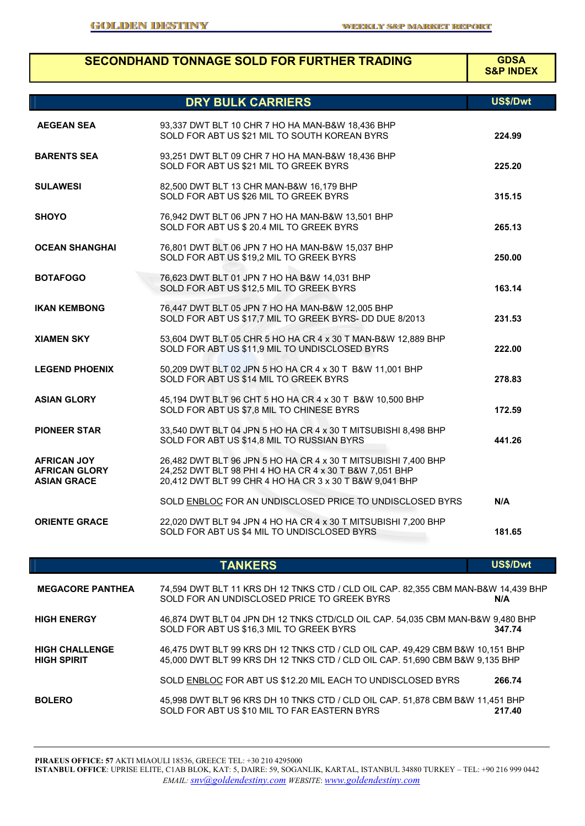г

|                                                                  | <b>SECONDHAND TONNAGE SOLD FOR FURTHER TRADING</b>                                                                                                                                   | <b>GDSA</b><br><b>S&amp;P INDEX</b> |
|------------------------------------------------------------------|--------------------------------------------------------------------------------------------------------------------------------------------------------------------------------------|-------------------------------------|
|                                                                  | <b>DRY BULK CARRIERS</b>                                                                                                                                                             | US\$/Dwt                            |
| <b>AEGEAN SEA</b>                                                | 93,337 DWT BLT 10 CHR 7 HO HA MAN-B&W 18,436 BHP<br>SOLD FOR ABT US \$21 MIL TO SOUTH KOREAN BYRS                                                                                    | 224.99                              |
| <b>BARENTS SEA</b>                                               | 93,251 DWT BLT 09 CHR 7 HO HA MAN-B&W 18,436 BHP<br>SOLD FOR ABT US \$21 MIL TO GREEK BYRS                                                                                           | 225.20                              |
| SULAWESI                                                         | 82,500 DWT BLT 13 CHR MAN-B&W 16,179 BHP<br>SOLD FOR ABT US \$26 MIL TO GREEK BYRS                                                                                                   | 315.15                              |
| SHOYO                                                            | 76,942 DWT BLT 06 JPN 7 HO HA MAN-B&W 13,501 BHP<br>SOLD FOR ABT US \$ 20.4 MIL TO GREEK BYRS                                                                                        | 265.13                              |
| <b>OCEAN SHANGHAI</b>                                            | 76,801 DWT BLT 06 JPN 7 HO HA MAN-B&W 15,037 BHP<br>SOLD FOR ABT US \$19,2 MIL TO GREEK BYRS                                                                                         | 250.00                              |
| <b>BOTAFOGO</b>                                                  | 76,623 DWT BLT 01 JPN 7 HO HA B&W 14,031 BHP<br>SOLD FOR ABT US \$12,5 MIL TO GREEK BYRS                                                                                             | 163.14                              |
| IKAN KEMBONG                                                     | 76,447 DWT BLT 05 JPN 7 HO HA MAN-B&W 12,005 BHP<br>SOLD FOR ABT US \$17,7 MIL TO GREEK BYRS- DD DUE 8/2013                                                                          | 231.53                              |
| XIAMEN SKY                                                       | 53,604 DWT BLT 05 CHR 5 HO HA CR 4 x 30 T MAN-B&W 12,889 BHP<br>SOLD FOR ABT US \$11,9 MIL TO UNDISCLOSED BYRS                                                                       | 222.00                              |
| <b>LEGEND PHOENIX</b>                                            | 50,209 DWT BLT 02 JPN 5 HO HA CR 4 x 30 T B&W 11,001 BHP<br>SOLD FOR ABT US \$14 MIL TO GREEK BYRS                                                                                   | 278.83                              |
| ASIAN GLORY                                                      | 45,194 DWT BLT 96 CHT 5 HO HA CR 4 x 30 T B&W 10,500 BHP<br>SOLD FOR ABT US \$7,8 MIL TO CHINESE BYRS                                                                                | 172.59                              |
| <b>PIONEER STAR</b>                                              | 33,540 DWT BLT 04 JPN 5 HO HA CR 4 x 30 T MITSUBISHI 8,498 BHP<br>SOLD FOR ABT US \$14,8 MIL TO RUSSIAN BYRS                                                                         | 441.26                              |
| <b>AFRICAN JOY</b><br><b>AFRICAN GLORY</b><br><b>ASIAN GRACE</b> | 26,482 DWT BLT 96 JPN 5 HO HA CR 4 x 30 T MITSUBISHI 7,400 BHP<br>24,252 DWT BLT 98 PHI 4 HO HA CR 4 x 30 T B&W 7,051 BHP<br>20,412 DWT BLT 99 CHR 4 HO HA CR 3 x 30 T B&W 9,041 BHP |                                     |
|                                                                  | SOLD ENBLOC FOR AN UNDISCLOSED PRICE TO UNDISCLOSED BYRS                                                                                                                             | N/A                                 |
| <b>ORIENTE GRACE</b>                                             | 22,020 DWT BLT 94 JPN 4 HO HA CR 4 x 30 T MITSUBISHI 7,200 BHP<br>SOLD FOR ABT US \$4 MIL TO UNDISCLOSED BYRS                                                                        | 181.65                              |

**TANKERS US\$/Dwt** 

| <b>MEGACORE PANTHEA</b>                     | 74,594 DWT BLT 11 KRS DH 12 TNKS CTD / CLD OIL CAP. 82,355 CBM MAN-B&W 14,439 BHP<br>SOLD FOR AN UNDISCLOSED PRICE TO GREEK BYRS                              | N/A    |
|---------------------------------------------|---------------------------------------------------------------------------------------------------------------------------------------------------------------|--------|
| <b>HIGH ENERGY</b>                          | 46,874 DWT BLT 04 JPN DH 12 TNKS CTD/CLD OIL CAP. 54,035 CBM MAN-B&W 9,480 BHP<br>SOLD FOR ABT US \$16.3 MIL TO GREEK BYRS                                    | 347.74 |
| <b>HIGH CHALLENGE</b><br><b>HIGH SPIRIT</b> | 46,475 DWT BLT 99 KRS DH 12 TNKS CTD / CLD OIL CAP. 49,429 CBM B&W 10,151 BHP<br>45,000 DWT BLT 99 KRS DH 12 TNKS CTD / CLD OIL CAP, 51,690 CBM B&W 9,135 BHP |        |
|                                             | SOLD ENBLOC FOR ABT US \$12.20 MIL EACH TO UNDISCLOSED BYRS                                                                                                   | 266.74 |
| <b>BOLERO</b>                               | 45,998 DWT BLT 96 KRS DH 10 TNKS CTD / CLD OIL CAP. 51,878 CBM B&W 11,451 BHP<br>SOLD FOR ABT US \$10 MIL TO FAR EASTERN BYRS                                 | 217.40 |

**PIRAEUS OFFICE: 57** AKTI MIAOULI 18536, GREECE TEL: +30 210 4295000

**ISTANBUL OFFICE**: UPRISE ELITE, C1AB BLOK, KAT: 5, DAIRE: 59, SOGANLIK, KARTAL, ISTANBUL 34880 TURKEY – TEL: +90 216 999 0442 *EMAIL: snv@goldendestiny.com WEBSITE*: *www.goldendestiny.com*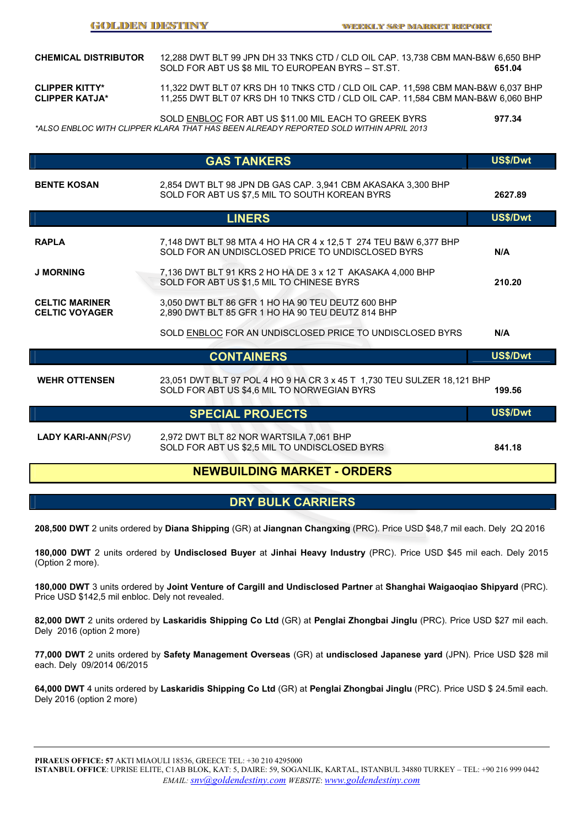| <b>CHEMICAL DISTRIBUTOR</b>                    | 12.288 DWT BLT 99 JPN DH 33 TNKS CTD / CLD OIL CAP. 13.738 CBM MAN-B&W 6.650 BHP<br>SOLD FOR ABT US \$8 MIL TO EUROPEAN BYRS - ST.ST.                                | 651.04 |
|------------------------------------------------|----------------------------------------------------------------------------------------------------------------------------------------------------------------------|--------|
| <b>CLIPPER KITTY*</b><br><b>CLIPPER KATJA*</b> | 11,322 DWT BLT 07 KRS DH 10 TNKS CTD / CLD OIL CAP. 11,598 CBM MAN-B&W 6,037 BHP<br>11.255 DWT BLT 07 KRS DH 10 TNKS CTD / CLD OIL CAP. 11.584 CBM MAN-B&W 6.060 BHP |        |
|                                                | SOLD ENBLOC FOR ABT US \$11.00 MIL EACH TO GREEK BYRS                                                                                                                | 977.34 |

*\*ALSO ENBLOC WITH CLIPPER KLARA THAT HAS BEEN ALREADY REPORTED SOLD WITHIN APRIL 2013* 

|                                                | <b>GAS TANKERS</b>                                                                                                     | US\$/Dwt |
|------------------------------------------------|------------------------------------------------------------------------------------------------------------------------|----------|
| <b>BENTE KOSAN</b>                             | 2,854 DWT BLT 98 JPN DB GAS CAP. 3,941 CBM AKASAKA 3,300 BHP<br>SOLD FOR ABT US \$7,5 MIL TO SOUTH KOREAN BYRS         | 2627.89  |
|                                                | <b>LINERS</b>                                                                                                          | US\$/Dwt |
| <b>RAPLA</b>                                   | 7,148 DWT BLT 98 MTA 4 HO HA CR 4 x 12.5 T 274 TEU B&W 6,377 BHP<br>SOLD FOR AN UNDISCLOSED PRICE TO UNDISCLOSED BYRS  | N/A      |
| <b>J MORNING</b>                               | 7,136 DWT BLT 91 KRS 2 HO HA DE 3 x 12 T AKASAKA 4,000 BHP<br>SOLD FOR ABT US \$1,5 MIL TO CHINESE BYRS                | 210.20   |
| <b>CELTIC MARINER</b><br><b>CELTIC VOYAGER</b> | 3,050 DWT BLT 86 GFR 1 HO HA 90 TEU DEUTZ 600 BHP<br>2,890 DWT BLT 85 GFR 1 HO HA 90 TEU DEUTZ 814 BHP                 |          |
|                                                | SOLD ENBLOC FOR AN UNDISCLOSED PRICE TO UNDISCLOSED BYRS                                                               | N/A      |
|                                                | <b>CONTAINERS</b>                                                                                                      | US\$/Dwt |
| <b>WEHR OTTENSEN</b>                           | 23,051 DWT BLT 97 POL 4 HO 9 HA CR 3 x 45 T 1,730 TEU SULZER 18,121 BHP<br>SOLD FOR ABT US \$4,6 MIL TO NORWEGIAN BYRS | 199.56   |
|                                                | <b>SPECIAL PROJECTS</b>                                                                                                | US\$/Dwt |
| <b>LADY KARI-ANN(PSV)</b>                      | 2,972 DWT BLT 82 NOR WARTSILA 7,061 BHP<br>SOLD FOR ABT US \$2,5 MIL TO UNDISCLOSED BYRS                               | 841.18   |

## **NEWBUILDING MARKET - ORDERS**

## **DRY BULK CARRIERS**

**208,500 DWT** 2 units ordered by **Diana Shipping** (GR) at **Jiangnan Changxing** (PRC). Price USD \$48,7 mil each. Dely 2Q 2016

**180,000 DWT** 2 units ordered by **Undisclosed Buyer** at **Jinhai Heavy Industry** (PRC). Price USD \$45 mil each. Dely 2015 (Option 2 more).

**180,000 DWT** 3 units ordered by **Joint Venture of Cargill and Undisclosed Partner** at **Shanghai Waigaoqiao Shipyard** (PRC). Price USD \$142,5 mil enbloc. Dely not revealed.

**82,000 DWT** 2 units ordered by **Laskaridis Shipping Co Ltd** (GR) at **Penglai Zhongbai Jinglu** (PRC). Price USD \$27 mil each. Dely 2016 (option 2 more)

**77,000 DWT** 2 units ordered by **Safety Management Overseas** (GR) at **undisclosed Japanese yard** (JPN). Price USD \$28 mil each. Dely 09/2014 06/2015

**64,000 DWT** 4 units ordered by **Laskaridis Shipping Co Ltd** (GR) at **Penglai Zhongbai Jinglu** (PRC). Price USD \$ 24.5mil each. Dely 2016 (option 2 more)

**PIRAEUS OFFICE: 57** AKTI MIAOULI 18536, GREECE TEL: +30 210 4295000

**ISTANBUL OFFICE**: UPRISE ELITE, C1AB BLOK, KAT: 5, DAIRE: 59, SOGANLIK, KARTAL, ISTANBUL 34880 TURKEY – TEL: +90 216 999 0442 *EMAIL: snv@goldendestiny.com WEBSITE*: *www.goldendestiny.com*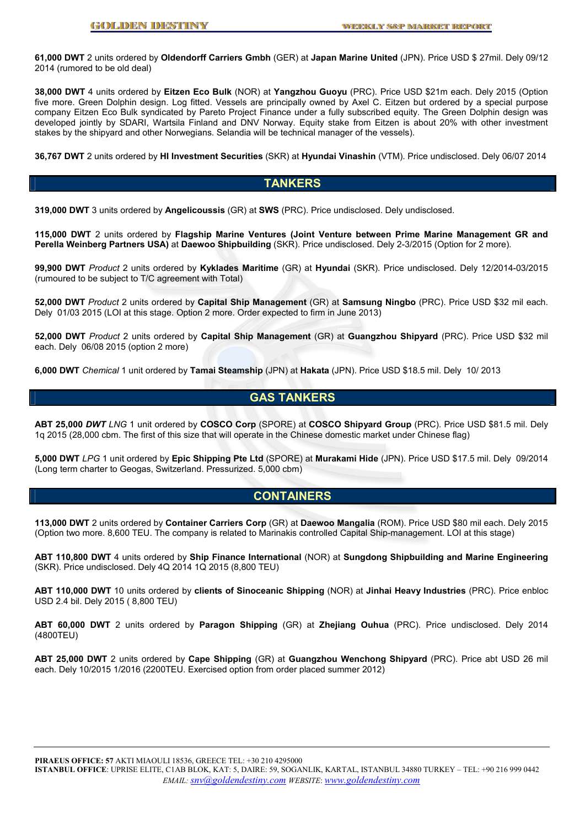**61,000 DWT** 2 units ordered by **Oldendorff Carriers Gmbh** (GER) at **Japan Marine United** (JPN). Price USD \$ 27mil. Dely 09/12 2014 (rumored to be old deal)

**38,000 DWT** 4 units ordered by **Eitzen Eco Bulk** (NOR) at **Yangzhou Guoyu** (PRC). Price USD \$21m each. Dely 2015 (Option five more. Green Dolphin design. Log fitted. Vessels are principally owned by Axel C. Eitzen but ordered by a special purpose company Eitzen Eco Bulk syndicated by Pareto Project Finance under a fully subscribed equity. The Green Dolphin design was developed jointly by SDARI, Wartsila Finland and DNV Norway. Equity stake from Eitzen is about 20% with other investment stakes by the shipyard and other Norwegians. Selandia will be technical manager of the vessels).

**36,767 DWT** 2 units ordered by **HI Investment Securities** (SKR) at **Hyundai Vinashin** (VTM). Price undisclosed. Dely 06/07 2014

## **TANKERS**

**319,000 DWT** 3 units ordered by **Angelicoussis** (GR) at **SWS** (PRC). Price undisclosed. Dely undisclosed.

**115,000 DWT** 2 units ordered by **Flagship Marine Ventures (Joint Venture between Prime Marine Management GR and Perella Weinberg Partners USA)** at **Daewoo Shipbuilding** (SKR). Price undisclosed. Dely 2-3/2015 (Option for 2 more).

**99,900 DWT** *Product* 2 units ordered by **Kyklades Maritime** (GR) at **Hyundai** (SKR). Price undisclosed. Dely 12/2014-03/2015 (rumoured to be subject to T/C agreement with Total)

**52,000 DWT** *Product* 2 units ordered by **Capital Ship Management** (GR) at **Samsung Ningbo** (PRC). Price USD \$32 mil each. Dely 01/03 2015 (LOI at this stage. Option 2 more. Order expected to firm in June 2013)

**52,000 DWT** *Product* 2 units ordered by **Capital Ship Management** (GR) at **Guangzhou Shipyard** (PRC). Price USD \$32 mil each. Dely 06/08 2015 (option 2 more)

**6,000 DWT** *Chemical* 1 unit ordered by **Tamai Steamship** (JPN) at **Hakata** (JPN). Price USD \$18.5 mil. Dely 10/ 2013

## **GAS TANKERS**

**ABT 25,000** *DWT LNG* 1 unit ordered by **COSCO Corp** (SPORE) at **COSCO Shipyard Group** (PRC). Price USD \$81.5 mil. Dely 1q 2015 (28,000 cbm. The first of this size that will operate in the Chinese domestic market under Chinese flag)

**5,000 DWT** *LPG* 1 unit ordered by **Epic Shipping Pte Ltd** (SPORE) at **Murakami Hide** (JPN). Price USD \$17.5 mil. Dely 09/2014 (Long term charter to Geogas, Switzerland. Pressurized. 5,000 cbm)

## **CONTAINERS**

**113,000 DWT** 2 units ordered by **Container Carriers Corp** (GR) at **Daewoo Mangalia** (ROM). Price USD \$80 mil each. Dely 2015 (Option two more. 8,600 TEU. The company is related to Marinakis controlled Capital Ship-management. LOI at this stage)

**ABT 110,800 DWT** 4 units ordered by **Ship Finance International** (NOR) at **Sungdong Shipbuilding and Marine Engineering**  (SKR). Price undisclosed. Dely 4Q 2014 1Q 2015 (8,800 TEU)

**ABT 110,000 DWT** 10 units ordered by **clients of Sinoceanic Shipping** (NOR) at **Jinhai Heavy Industries** (PRC). Price enbloc USD 2.4 bil. Dely 2015 ( 8,800 TEU)

**ABT 60,000 DWT** 2 units ordered by **Paragon Shipping** (GR) at **Zhejiang Ouhua** (PRC). Price undisclosed. Dely 2014 (4800TEU)

**ABT 25,000 DWT** 2 units ordered by **Cape Shipping** (GR) at **Guangzhou Wenchong Shipyard** (PRC). Price abt USD 26 mil each. Dely 10/2015 1/2016 (2200TEU. Exercised option from order placed summer 2012)

**PIRAEUS OFFICE: 57** AKTI MIAOULI 18536, GREECE TEL: +30 210 4295000

**ISTANBUL OFFICE**: UPRISE ELITE, C1AB BLOK, KAT: 5, DAIRE: 59, SOGANLIK, KARTAL, ISTANBUL 34880 TURKEY – TEL: +90 216 999 0442 *EMAIL: snv@goldendestiny.com WEBSITE*: *www.goldendestiny.com*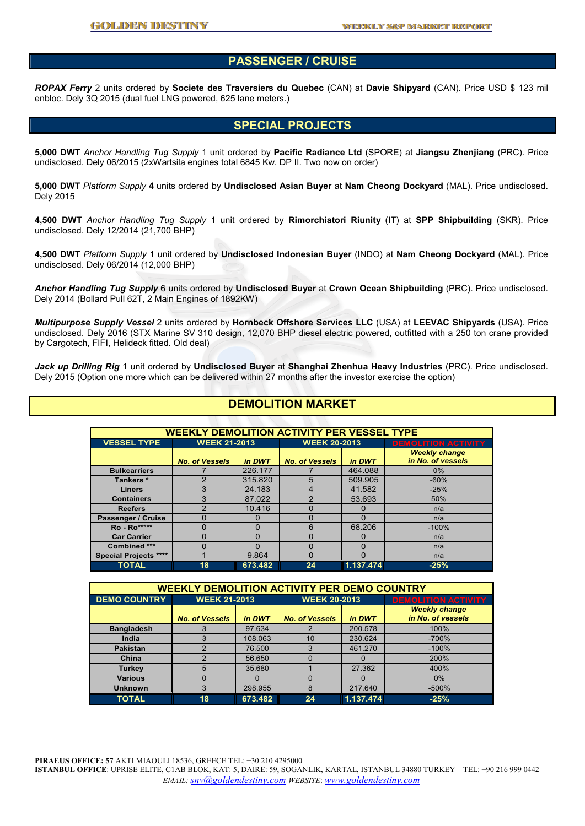### **PASSENGER / CRUISE**

*ROPAX Ferry* 2 units ordered by **Societe des Traversiers du Quebec** (CAN) at **Davie Shipyard** (CAN). Price USD \$ 123 mil enbloc. Dely 3Q 2015 (dual fuel LNG powered, 625 lane meters.)

### **SPECIAL PROJECTS**

**5,000 DWT** *Anchor Handling Tug Supply* 1 unit ordered by **Pacific Radiance Ltd** (SPORE) at **Jiangsu Zhenjiang** (PRC). Price undisclosed. Dely 06/2015 (2xWartsila engines total 6845 Kw. DP II. Two now on order)

**5,000 DWT** *Platform Supply* **4** units ordered by **Undisclosed Asian Buyer** at **Nam Cheong Dockyard** (MAL). Price undisclosed. Dely 2015

**4,500 DWT** *Anchor Handling Tug Supply* 1 unit ordered by **Rimorchiatori Riunity** (IT) at **SPP Shipbuilding** (SKR). Price undisclosed. Dely 12/2014 (21,700 BHP)

**4,500 DWT** *Platform Supply* 1 unit ordered by **Undisclosed Indonesian Buyer** (INDO) at **Nam Cheong Dockyard** (MAL). Price undisclosed. Dely 06/2014 (12,000 BHP)

*Anchor Handling Tug Supply* 6 units ordered by **Undisclosed Buyer** at **Crown Ocean Shipbuilding** (PRC). Price undisclosed. Dely 2014 (Bollard Pull 62T, 2 Main Engines of 1892KW)

*Multipurpose Supply Vessel* 2 units ordered by **Hornbeck Offshore Services LLC** (USA) at **LEEVAC Shipyards** (USA). Price undisclosed. Dely 2016 (STX Marine SV 310 design, 12,070 BHP diesel electric powered, outfitted with a 250 ton crane provided by Cargotech, FIFI, Helideck fitted. Old deal)

*Jack up Drilling Rig* 1 unit ordered by **Undisclosed Buyer** at **Shanghai Zhenhua Heavy Industries** (PRC). Price undisclosed. Dely 2015 (Option one more which can be delivered within 27 months after the investor exercise the option)

### **DEMOLITION MARKET**

| <b>WEEKLY DEMOLITION ACTIVITY PER VESSEL TYPE</b> |                       |         |                       |           |                                           |  |  |
|---------------------------------------------------|-----------------------|---------|-----------------------|-----------|-------------------------------------------|--|--|
| <b>VESSEL TYPE</b>                                | <b>WEEK 21-2013</b>   |         | <b>WEEK 20-2013</b>   |           | <b>DEMOLITION ACTIVITY</b>                |  |  |
|                                                   | <b>No. of Vessels</b> | in DWT  | <b>No. of Vessels</b> | in DWT    | <b>Weekly change</b><br>in No. of vessels |  |  |
| <b>Bulkcarriers</b>                               |                       | 226.177 |                       | 464.088   | $0\%$                                     |  |  |
| Tankers*                                          |                       | 315,820 | 5                     | 509.905   | $-60%$                                    |  |  |
| <b>Liners</b>                                     |                       | 24.183  |                       | 41.582    | $-25%$                                    |  |  |
| <b>Containers</b>                                 | 3                     | 87.022  | 2                     | 53.693    | 50%                                       |  |  |
| <b>Reefers</b>                                    | ာ                     | 10.416  | ŋ                     | 0         | n/a                                       |  |  |
| Passenger / Cruise                                | O                     | 0       | O                     | $\Omega$  | n/a                                       |  |  |
| <b>Ro</b> - Ro*****                               | 0                     | 0       | 6                     | 68.206    | $-100%$                                   |  |  |
| <b>Car Carrier</b>                                | O                     | 0       | O                     | 0         | n/a                                       |  |  |
| Combined ***                                      | U                     | O       | O                     | 0         | n/a                                       |  |  |
| <b>Special Projects ****</b>                      |                       | 9.864   | O                     | 0         | n/a                                       |  |  |
| <b>TOTAL</b>                                      | 18                    | 673.482 | 24                    | 1.137.474 | $-25%$                                    |  |  |

| <b>WEEKLY DEMOLITION ACTIVITY PER DEMO COUNTRY</b> |                       |         |                       |           |                                           |  |  |  |
|----------------------------------------------------|-----------------------|---------|-----------------------|-----------|-------------------------------------------|--|--|--|
| <b>DEMO COUNTRY</b>                                | <b>WEEK 21-2013</b>   |         | <b>WEEK 20-2013</b>   |           | <b>DEMOLITION ACTIVITY</b>                |  |  |  |
|                                                    | <b>No. of Vessels</b> | in DWT  | <b>No. of Vessels</b> | in DWT    | <b>Weekly change</b><br>in No. of vessels |  |  |  |
| <b>Bangladesh</b>                                  |                       | 97.634  |                       | 200.578   | 100%                                      |  |  |  |
| India                                              |                       | 108.063 | 10                    | 230.624   | $-700%$                                   |  |  |  |
| <b>Pakistan</b>                                    |                       | 76.500  |                       | 461.270   | $-100%$                                   |  |  |  |
| China                                              | ົ                     | 56.650  |                       | 0         | 200%                                      |  |  |  |
| <b>Turkey</b>                                      | 5                     | 35.680  |                       | 27.362    | 400%                                      |  |  |  |
| <b>Various</b>                                     |                       | 0       |                       | $\Omega$  | $0\%$                                     |  |  |  |
| <b>Unknown</b>                                     | 3                     | 298.955 | 8                     | 217.640   | $-500%$                                   |  |  |  |
| <b>TOTAL</b>                                       | 18                    | 673.482 | 24                    | 1.137.474 | $-25%$                                    |  |  |  |

**PIRAEUS OFFICE: 57** AKTI MIAOULI 18536, GREECE TEL: +30 210 4295000 **ISTANBUL OFFICE**: UPRISE ELITE, C1AB BLOK, KAT: 5, DAIRE: 59, SOGANLIK, KARTAL, ISTANBUL 34880 TURKEY – TEL: +90 216 999 0442 *EMAIL: snv@goldendestiny.com WEBSITE*: *www.goldendestiny.com*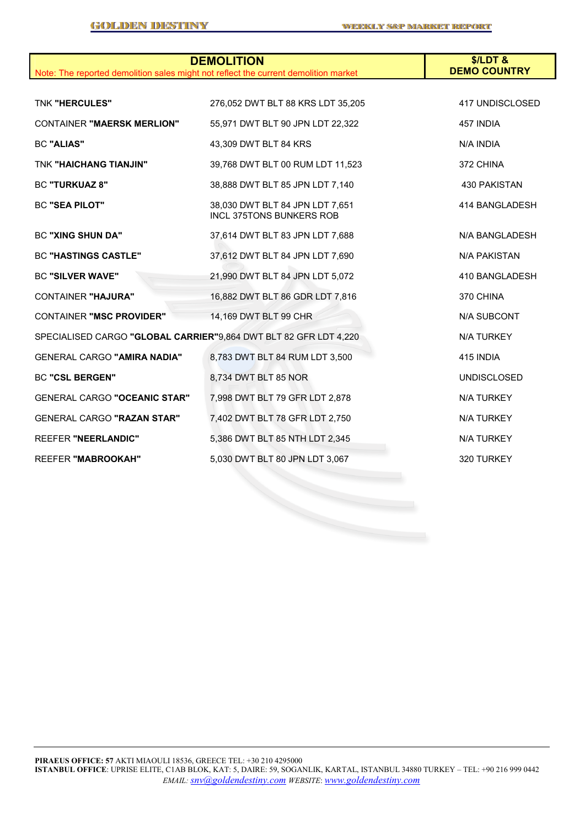| Note: The reported demolition sales might not reflect the current demolition market | <b>DEMOLITION</b>                                                  | \$/LDT&<br><b>DEMO COUNTRY</b> |
|-------------------------------------------------------------------------------------|--------------------------------------------------------------------|--------------------------------|
|                                                                                     |                                                                    |                                |
| <b>TNK "HERCULES"</b>                                                               | 276,052 DWT BLT 88 KRS LDT 35,205                                  | 417 UNDISCLOSED                |
| <b>CONTAINER "MAERSK MERLION"</b>                                                   | 55,971 DWT BLT 90 JPN LDT 22,322                                   | 457 INDIA                      |
| <b>BC "ALIAS"</b>                                                                   | 43,309 DWT BLT 84 KRS                                              | N/A INDIA                      |
| <b>TNK "HAICHANG TIANJIN"</b>                                                       | 39,768 DWT BLT 00 RUM LDT 11,523                                   | 372 CHINA                      |
| <b>BC "TURKUAZ 8"</b>                                                               | 38,888 DWT BLT 85 JPN LDT 7,140                                    | 430 PAKISTAN                   |
| <b>BC "SEA PILOT"</b>                                                               | 38,030 DWT BLT 84 JPN LDT 7,651<br><b>INCL 375TONS BUNKERS ROB</b> | 414 BANGLADESH                 |
| <b>BC "XING SHUN DA"</b>                                                            | 37,614 DWT BLT 83 JPN LDT 7,688                                    | N/A BANGLADESH                 |
| <b>BC "HASTINGS CASTLE"</b>                                                         | 37,612 DWT BLT 84 JPN LDT 7,690                                    | N/A PAKISTAN                   |
| <b>BC "SILVER WAVE"</b>                                                             | 21,990 DWT BLT 84 JPN LDT 5,072                                    | 410 BANGLADESH                 |
| <b>CONTAINER "HAJURA"</b>                                                           | 16,882 DWT BLT 86 GDR LDT 7,816                                    | 370 CHINA                      |
| <b>CONTAINER "MSC PROVIDER"</b>                                                     | 14,169 DWT BLT 99 CHR                                              | <b>N/A SUBCONT</b>             |
| SPECIALISED CARGO "GLOBAL CARRIER"9,864 DWT BLT 82 GFR LDT 4,220                    |                                                                    | N/A TURKEY                     |
| <b>GENERAL CARGO "AMIRA NADIA"</b>                                                  | 8,783 DWT BLT 84 RUM LDT 3,500                                     | 415 INDIA                      |
| <b>BC "CSL BERGEN"</b>                                                              | 8,734 DWT BLT 85 NOR                                               | <b>UNDISCLOSED</b>             |
| <b>GENERAL CARGO "OCEANIC STAR"</b>                                                 | 7,998 DWT BLT 79 GFR LDT 2,878                                     | N/A TURKEY                     |
| GENERAL CARGO "RAZAN STAR"                                                          | 7,402 DWT BLT 78 GFR LDT 2,750                                     | N/A TURKEY                     |
| <b>REEFER "NEERLANDIC"</b>                                                          | 5,386 DWT BLT 85 NTH LDT 2,345                                     | <b>N/A TURKEY</b>              |
| <b>REEFER "MABROOKAH"</b>                                                           | 5,030 DWT BLT 80 JPN LDT 3,067                                     | 320 TURKEY                     |
|                                                                                     |                                                                    |                                |